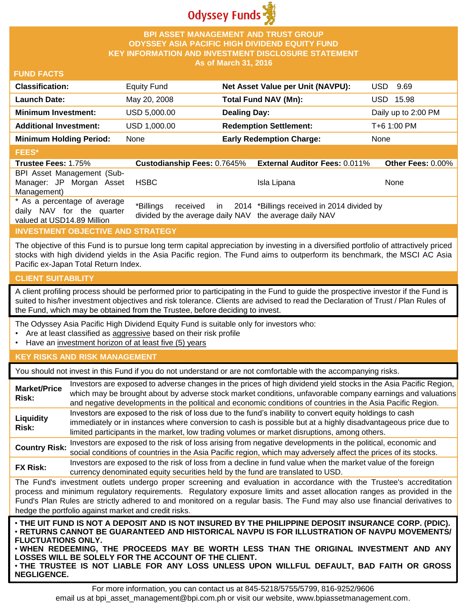

## **BPI ASSET MANAGEMENT AND TRUST GROUP ODYSSEY ASIA PACIFIC HIGH DIVIDEND EQUITY FUND KEY INFORMATION AND INVESTMENT DISCLOSURE STATEMENT As of March 31, 2016**

## **FUND FACTS**

| <b>Classification:</b>         | <b>Equity Fund</b> | Net Asset Value per Unit (NAVPU): | USD.<br>9.69        |
|--------------------------------|--------------------|-----------------------------------|---------------------|
| Launch Date:                   | May 20, 2008       | Total Fund NAV (Mn):              | USD 15.98           |
| <b>Minimum Investment:</b>     | USD 5,000.00       | <b>Dealing Day:</b>               | Daily up to 2:00 PM |
| <b>Additional Investment:</b>  | USD 1,000.00       | <b>Redemption Settlement:</b>     | T+6 1:00 PM         |
| <b>Minimum Holding Period:</b> | None               | <b>Early Redemption Charge:</b>   | None                |
| <b>FEES*</b>                   |                    |                                   |                     |

#### **Trustee Fees:** 1.75% **Custodianship Fees:** 0.7645% **External Auditor Fees:** 0.011% **Other Fees:** 0.00% BPI Asset Management (Sub-Manager: JP Morgan Asset Management) HSBC Isla Lipana None \* As a percentage of average daily NAV for the quarter valued at USD14.89 Million \*Billings received in divided by the average daily NAV the average daily NAV 2014 \*Billings received in 2014 divided by

# **INVESTMENT OBJECTIVE AND STRATEGY**

The objective of this Fund is to pursue long term capital appreciation by investing in a diversified portfolio of attractively priced stocks with high dividend yields in the Asia Pacific region. The Fund aims to outperform its benchmark, the MSCI AC Asia Pacific ex-Japan Total Return Index.

#### **CLIENT SUITABILITY**

A client profiling process should be performed prior to participating in the Fund to guide the prospective investor if the Fund is suited to his/her investment objectives and risk tolerance. Clients are advised to read the Declaration of Trust / Plan Rules of the Fund, which may be obtained from the Trustee, before deciding to invest.

The Odyssey Asia Pacific High Dividend Equity Fund is suitable only for investors who:

- Are at least classified as aggressive based on their risk profile
- Have an investment horizon of at least five (5) years

## **KEY RISKS AND RISK MANAGEMENT**

You should not invest in this Fund if you do not understand or are not comfortable with the accompanying risks.

| <b>Market/Price</b><br>Risk:                                                                                                                                                                                                                                                                                                                                                                                                         | Investors are exposed to adverse changes in the prices of high dividend yield stocks in the Asia Pacific Region,<br>which may be brought about by adverse stock market conditions, unfavorable company earnings and valuations<br>and negative developments in the political and economic conditions of countries in the Asia Pacific Region. |  |
|--------------------------------------------------------------------------------------------------------------------------------------------------------------------------------------------------------------------------------------------------------------------------------------------------------------------------------------------------------------------------------------------------------------------------------------|-----------------------------------------------------------------------------------------------------------------------------------------------------------------------------------------------------------------------------------------------------------------------------------------------------------------------------------------------|--|
| Liquidity<br>Risk:                                                                                                                                                                                                                                                                                                                                                                                                                   | Investors are exposed to the risk of loss due to the fund's inability to convert equity holdings to cash<br>immediately or in instances where conversion to cash is possible but at a highly disadvantageous price due to<br>limited participants in the market, low trading volumes or market disruptions, among others.                     |  |
| <b>Country Risk:</b>                                                                                                                                                                                                                                                                                                                                                                                                                 | Investors are exposed to the risk of loss arising from negative developments in the political, economic and<br>social conditions of countries in the Asia Pacific region, which may adversely affect the prices of its stocks.                                                                                                                |  |
| <b>FX Risk:</b>                                                                                                                                                                                                                                                                                                                                                                                                                      | Investors are exposed to the risk of loss from a decline in fund value when the market value of the foreign<br>currency denominated equity securities held by the fund are translated to USD.                                                                                                                                                 |  |
| The Fund's investment outlets undergo proper screening and evaluation in accordance with the Trustee's accreditation<br>process and minimum regulatory requirements. Regulatory exposure limits and asset allocation ranges as provided in the<br>Fund's Plan Rules are strictly adhered to and monitored on a regular basis. The Fund may also use financial derivatives to<br>hedge the portfolio against market and credit risks. |                                                                                                                                                                                                                                                                                                                                               |  |
| . THE UIT FUND IS NOT A DEPOSIT AND IS NOT INSURED BY THE PHILIPPINE DEPOSIT INSURANCE CORP. (PDIC).<br>· RETURNS CANNOT BE GUARANTEED AND HISTORICAL NAVPU IS FOR ILLUSTRATION OF NAVPU MOVEMENTS/<br><b>FLUCTUATIONS ONLY.</b><br>. WHEN REDEEMING, THE PROCEEDS MAY BE WORTH LESS THAN THE ORIGINAL INVESTMENT AND ANY<br>LOSSES WILL BE SOLELY FOR THE ACCOUNT OF THE CLIENT.                                                    |                                                                                                                                                                                                                                                                                                                                               |  |

• **THE TRUSTEE IS NOT LIABLE FOR ANY LOSS UNLESS UPON WILLFUL DEFAULT, BAD FAITH OR GROSS NEGLIGENCE.**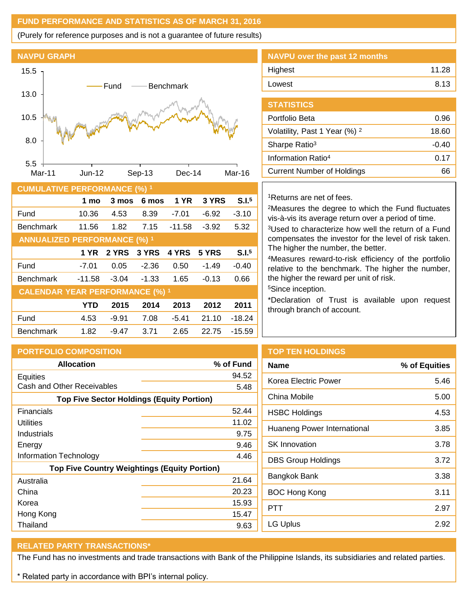# **FUND PERFORMANCE AND STATISTICS AS OF MARCH 31, 2016**

(Purely for reference purposes and is not a guarantee of future results)





| <b>CUMULATIVE PERFORMANCE (%) 1</b>    |             |         |         |             |         |                   |
|----------------------------------------|-------------|---------|---------|-------------|---------|-------------------|
|                                        | 1 mo        | 3 mos   | 6 mos   | <b>1 YR</b> | 3 YRS   | S.I. <sup>5</sup> |
| Fund                                   | 10.36       | 4.53    | 8.39    | $-7.01$     | $-6.92$ | $-3.10$           |
| <b>Benchmark</b>                       | 11.56       | 1.82    | 7.15    | $-11.58$    | $-3.92$ | 5.32              |
| <b>ANNUALIZED PERFORMANCE (%) 1</b>    |             |         |         |             |         |                   |
|                                        | <b>1 YR</b> | 2 YRS   | 3 YRS   | 4 YRS       | 5 YRS   | S.I. <sup>5</sup> |
| Fund                                   | $-7.01$     | 0.05    | $-2.36$ | 0.50        | $-1.49$ | $-0.40$           |
| <b>Benchmark</b>                       | $-11.58$    | $-3.04$ | $-1.33$ | 1.65        | $-0.13$ | 0.66              |
| <b>CALENDAR YEAR PERFORMANCE (%) 1</b> |             |         |         |             |         |                   |
|                                        | <b>YTD</b>  | 2015    | 2014    | 2013        | 2012    | 2011              |
| Fund                                   | 4.53        | $-9.91$ | 7.08    | $-5.41$     | 21.10   | $-18.24$          |
| <b>Benchmark</b>                       | 1.82        | -9.47   | 3.71    | 2.65        | 22.75   | $-15.59$          |

| NAVPU over the past 12 months |       |
|-------------------------------|-------|
| Highest                       | 11.28 |
| Lowest                        | 8.13  |
|                               |       |

| <b>STATISTICS</b>                        |       |
|------------------------------------------|-------|
| Portfolio Beta                           | 0.96  |
| Volatility, Past 1 Year (%) <sup>2</sup> | 18.60 |
| Sharpe Ratio <sup>3</sup>                | -0.40 |
| Information Ratio <sup>4</sup>           | 0.17  |
| <b>Current Number of Holdings</b>        |       |

## <sup>1</sup>Returns are net of fees.

<sup>2</sup>Measures the degree to which the Fund fluctuates vis-à-vis its average return over a period of time.

<sup>3</sup>Used to characterize how well the return of a Fund compensates the investor for the level of risk taken. The higher the number, the better.

<sup>4</sup>Measures reward-to-risk efficiency of the portfolio relative to the benchmark. The higher the number, the higher the reward per unit of risk.

<sup>5</sup>Since inception.

\*Declaration of Trust is available upon request through branch of account.

| <b>PORTFOLIO COMPOSITION</b>                        |           | <b>TOP</b>       |
|-----------------------------------------------------|-----------|------------------|
| <b>Allocation</b>                                   | % of Fund | <b>Name</b>      |
| Equities                                            | 94.52     | Korea            |
| Cash and Other Receivables                          | 5.48      |                  |
| <b>Top Five Sector Holdings (Equity Portion)</b>    |           | China            |
| Financials                                          | 52.44     | <b>HSBC</b>      |
| Utilities                                           | 11.02     |                  |
| Industrials                                         | 9.75      | Huan             |
| Energy                                              | 9.46      | SK In            |
| Information Technology                              | 4.46      | DBS <sup>(</sup> |
| <b>Top Five Country Weightings (Equity Portion)</b> |           |                  |
| Australia                                           | 21.64     | Bangl            |
| China                                               | 20.23     | BOC              |
| Korea                                               | 15.93     | <b>PTT</b>       |
| Hong Kong                                           | 15.47     |                  |
| Thailand                                            | 9.63      | LG Up            |

## **TEN HOLDINGS**

| <b>Name</b>                 | % of Equities |
|-----------------------------|---------------|
| Korea Electric Power        | 5.46          |
| China Mobile                | 5.00          |
| <b>HSBC Holdings</b>        | 4.53          |
| Huaneng Power International | 3.85          |
| <b>SK Innovation</b>        | 3.78          |
| <b>DBS Group Holdings</b>   | 3.72          |
| Bangkok Bank                | 3.38          |
| <b>BOC Hong Kong</b>        | 3.11          |
| PTT                         | 2.97          |
| <b>LG Uplus</b>             | 2.92          |

# **RELATED PARTY TRANSACTIONS\***

The Fund has no investments and trade transactions with Bank of the Philippine Islands, its subsidiaries and related parties.

\* Related party in accordance with BPI's internal policy.